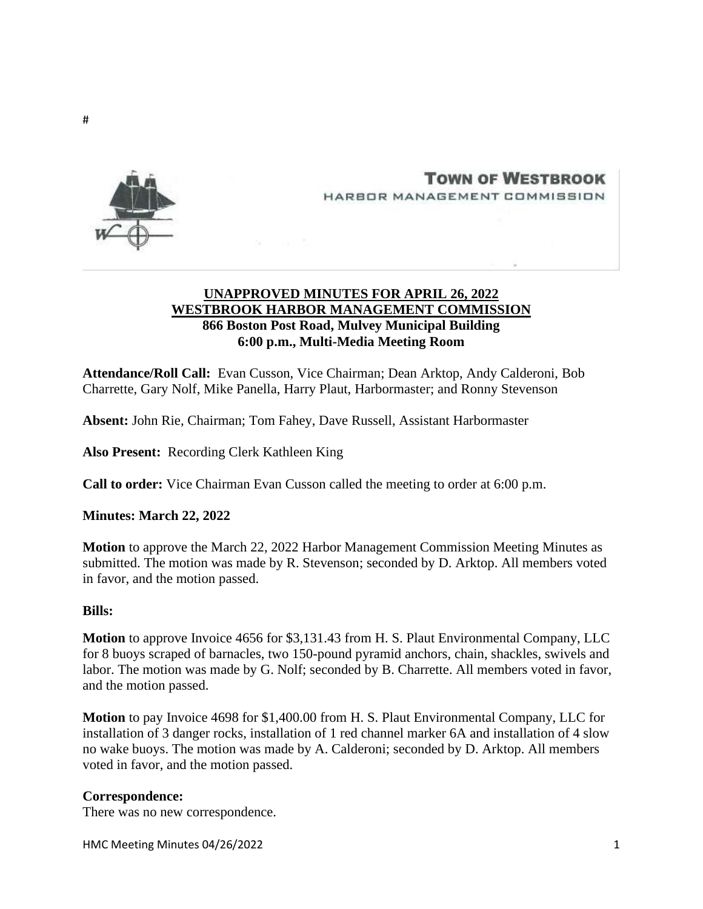



# **TOWN OF WESTBROOK** HARBOR MANAGEMENT COMMISSION

# **UNAPPROVED MINUTES FOR APRIL 26, 2022 WESTBROOK HARBOR MANAGEMENT COMMISSION 866 Boston Post Road, Mulvey Municipal Building 6:00 p.m., Multi-Media Meeting Room**

**Attendance/Roll Call:** Evan Cusson, Vice Chairman; Dean Arktop, Andy Calderoni, Bob Charrette, Gary Nolf, Mike Panella, Harry Plaut, Harbormaster; and Ronny Stevenson

**Absent:** John Rie, Chairman; Tom Fahey, Dave Russell, Assistant Harbormaster

**Also Present:** Recording Clerk Kathleen King

**Call to order:** Vice Chairman Evan Cusson called the meeting to order at 6:00 p.m.

**Minutes: March 22, 2022**

**Motion** to approve the March 22, 2022 Harbor Management Commission Meeting Minutes as submitted. The motion was made by R. Stevenson; seconded by D. Arktop. All members voted in favor, and the motion passed.

#### **Bills:**

**Motion** to approve Invoice 4656 for \$3,131.43 from H. S. Plaut Environmental Company, LLC for 8 buoys scraped of barnacles, two 150-pound pyramid anchors, chain, shackles, swivels and labor. The motion was made by G. Nolf; seconded by B. Charrette. All members voted in favor, and the motion passed.

**Motion** to pay Invoice 4698 for \$1,400.00 from H. S. Plaut Environmental Company, LLC for installation of 3 danger rocks, installation of 1 red channel marker 6A and installation of 4 slow no wake buoys. The motion was made by A. Calderoni; seconded by D. Arktop. All members voted in favor, and the motion passed.

#### **Correspondence:**

There was no new correspondence.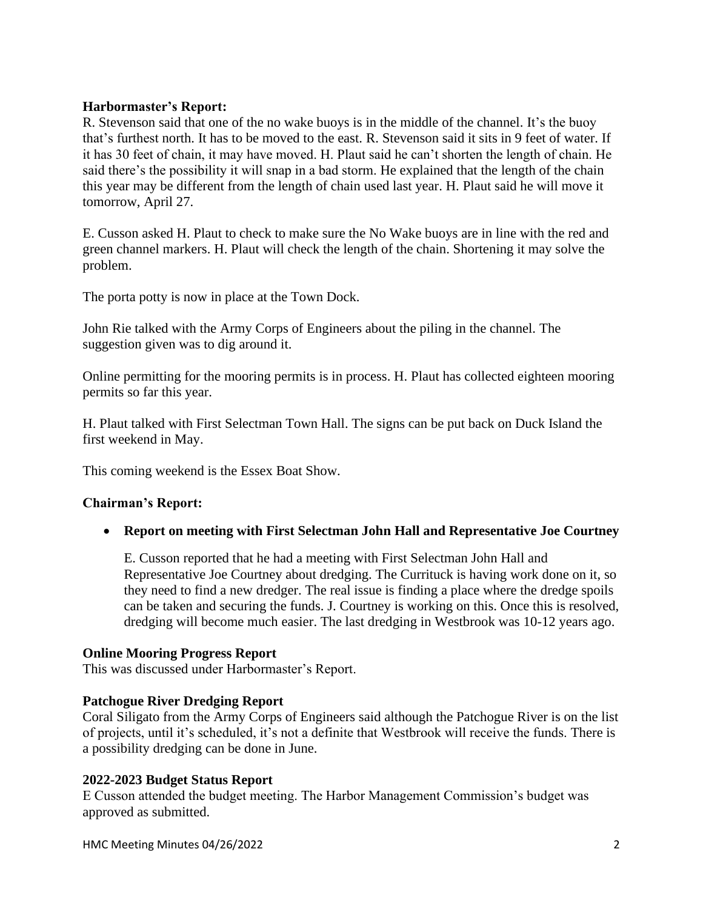#### **Harbormaster's Report:**

R. Stevenson said that one of the no wake buoys is in the middle of the channel. It's the buoy that's furthest north. It has to be moved to the east. R. Stevenson said it sits in 9 feet of water. If it has 30 feet of chain, it may have moved. H. Plaut said he can't shorten the length of chain. He said there's the possibility it will snap in a bad storm. He explained that the length of the chain this year may be different from the length of chain used last year. H. Plaut said he will move it tomorrow, April 27.

E. Cusson asked H. Plaut to check to make sure the No Wake buoys are in line with the red and green channel markers. H. Plaut will check the length of the chain. Shortening it may solve the problem.

The porta potty is now in place at the Town Dock.

John Rie talked with the Army Corps of Engineers about the piling in the channel. The suggestion given was to dig around it.

Online permitting for the mooring permits is in process. H. Plaut has collected eighteen mooring permits so far this year.

H. Plaut talked with First Selectman Town Hall. The signs can be put back on Duck Island the first weekend in May.

This coming weekend is the Essex Boat Show.

#### **Chairman's Report:**

• **Report on meeting with First Selectman John Hall and Representative Joe Courtney**

E. Cusson reported that he had a meeting with First Selectman John Hall and Representative Joe Courtney about dredging. The Currituck is having work done on it, so they need to find a new dredger. The real issue is finding a place where the dredge spoils can be taken and securing the funds. J. Courtney is working on this. Once this is resolved, dredging will become much easier. The last dredging in Westbrook was 10-12 years ago.

#### **Online Mooring Progress Report**

This was discussed under Harbormaster's Report.

#### **Patchogue River Dredging Report**

Coral Siligato from the Army Corps of Engineers said although the Patchogue River is on the list of projects, until it's scheduled, it's not a definite that Westbrook will receive the funds. There is a possibility dredging can be done in June.

# **2022-2023 Budget Status Report**

E Cusson attended the budget meeting. The Harbor Management Commission's budget was approved as submitted.